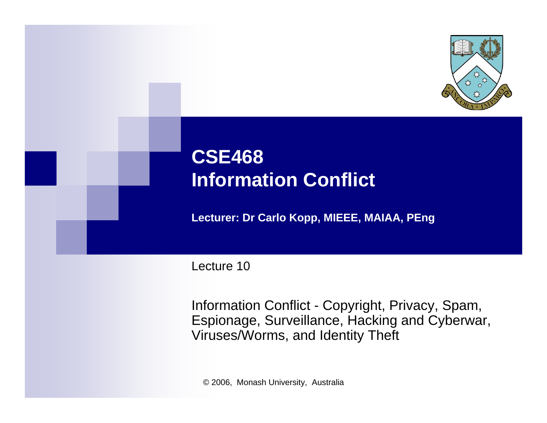

# **CSE468 Information Conflict**

**Lecturer: Dr Carlo Kopp, MIEEE, MAIAA, PEng**

Lecture 10

Information Conflict - Copyright, Privacy, Spam, Espionage, Surveillance, Hacking and Cyberwar, Viruses/Worms, and Identity Theft

© 2006, Monash University, Australia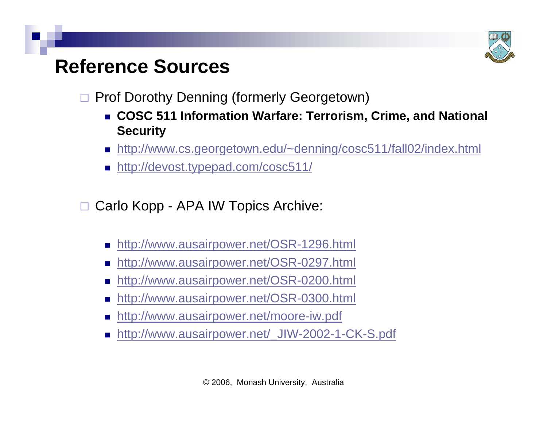

### **Reference Sources**

- $\Box$  Prof Dorothy Denning (formerly Georgetown)
	- **COSC 511 Information Warfare: Terrorism, Crime, and National Security**
	- <http://www.cs.georgetown.edu/~denning/cosc511/fall02/index.html>
	- [http://devost.typepad.com/cosc511/](http://devost.typepad.com/coso511/)

 $\Box$ Carlo Kopp - APA IW Topics Archive:

- П <http://www.ausairpower.net/OSR-1296.html>
- П <http://www.ausairpower.net/OSR-0297.html>
- H <http://www.ausairpower.net/OSR-0200.html>
- П <http://www.ausairpower.net/OSR-0300.html>
- П <http://www.ausairpower.net/moore-iw.pdf>
- [http://www.ausairpower.net/\\_JIW-2002-1-CK-S.pdf](http://www.ausairpower.net/_JIW-2002-1-CK-S.pdf)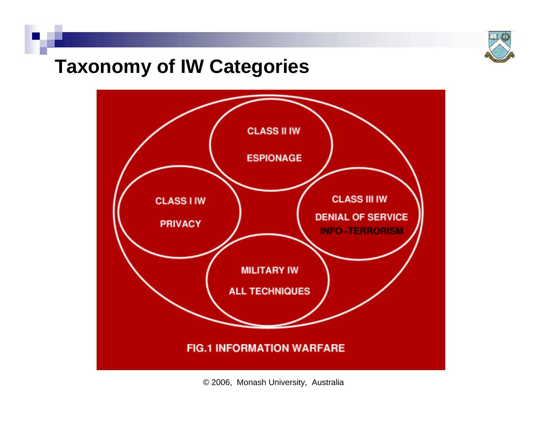

#### **Taxonomy of IW Categories**

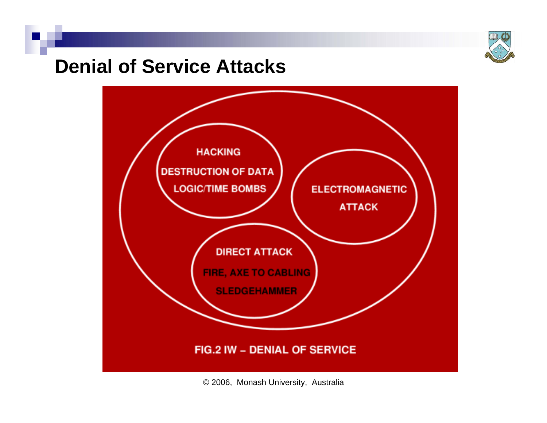

#### **Denial of Service Attacks**

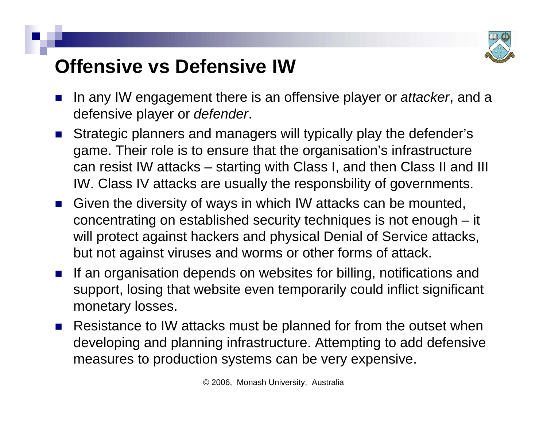

# **Offensive vs Defensive IW**

- H. In any IW engagement there is an offensive player or *attacker*, and a defensive player or *defender*.
- F. Strategic planners and managers will typically play the defender's game. Their role is to ensure that the organisation's infrastructure can resist IW attacks – starting with Class I, and then Class II and III IW. Class IV attacks are usually the responsbility of governments.
- F. Given the diversity of ways in which IW attacks can be mounted, concentrating on established security techniques is not enough – it will protect against hackers and physical Denial of Service attacks, but not against viruses and worms or other forms of attack.
- F. If an organisation depends on websites for billing, notifications and support, losing that website even temporarily could inflict significant monetary losses.
- $\mathcal{L}^{\text{max}}_{\text{max}}$  Resistance to IW attacks must be planned for from the outset when developing and planning infrastructure. Attempting to add defensive measures to production systems can be very expensive.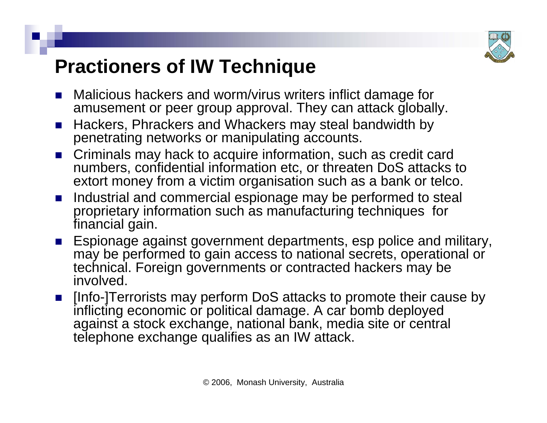

### **Practioners of IW Technique**

- F. Malicious hackers and worm/virus writers inflict damage for amusement or peer group approval. They can attack globally.
- H. Hackers, Phrackers and Whackers may steal bandwidth by penetrating networks or manipulating accounts.
- Criminals may hack to acquire information, such as credit card numbers, confidential information etc, or threaten DoS attacks to extort money from a victim organisation such as a bank or telco.
- F. Industrial and commercial espionage may be performed to steal proprietary information such as manufacturing techniques for financial gain.
- Espionage against government departments, esp police and military, may be performed to gain access to national secrets, operational or technical. Foreign governments or contracted hackers may be involved.
- [Info-]Terrorists may perform DoS attacks to promote their cause by inflicting economic or political damage. A car bomb deployed against a stock exchange, national bank, media site or central telephone exchange qualifies as an IW attack.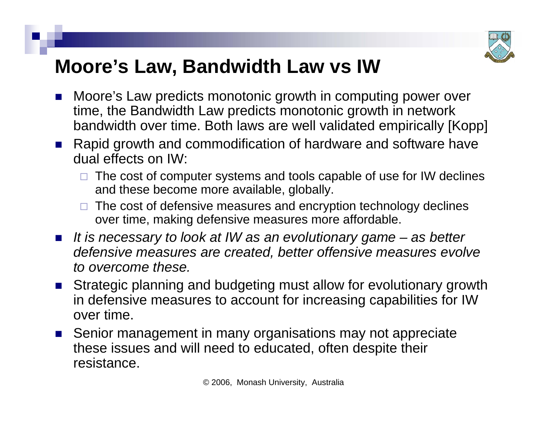

### **Moore's Law, Bandwidth Law vs IW**

- F. Moore's Law predicts monotonic growth in computing power over time, the Bandwidth Law predicts monotonic growth in network bandwidth over time. Both laws are well validated empirically [Kopp]
- Rapid growth and commodification of hardware and software have dual effects on IW:
	- $\Box$  The cost of computer systems and tools capable of use for IW declines and these become more available, globally.
	- $\Box$  The cost of defensive measures and encryption technology declines over time, making defensive measures more affordable.
- *It is necessary to look at IW as an evolutionary game – as better defensive measures are created, better offensive measures evolve to overcome these.*
- **Strategic planning and budgeting must allow for evolutionary growth** in defensive measures to account for increasing capabilities for IW over time.
- Senior management in many organisations may not appreciate these issues and will need to educated, often despite their resistance.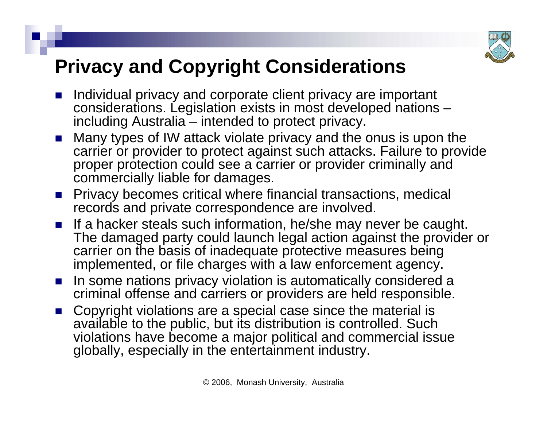

# **Privacy and Copyright Considerations**

- F. Individual privacy and corporate client privacy are important considerations. Legislation exists in most developed nations – including Australia – intended to protect privacy.
- Many types of IW attack violate privacy and the onus is upon the carrier or provider to protect against such attacks. Failure to provide proper protection could see a carrier or provider criminally and com m ercially liable for d a m ages.
- **Privacy becomes critical where financial transactions, medical** records and private correspondence are involved.
- If a hacker steals such information, he/she may never be caught. The damaged party could launch legal action against the provider or carrier on the basis of inadequate protective measures being implemented, or file charges with a law enforcement agency.
- F. In some nations privacy violation is automatically considered a criminal offense and carriers or providers are held responsible.
- **Copyright violations are a special case since the material is** available to the public, but its distribution is controlled. Such violations have become a major political and commercial issue globally, especially in the entertainment industry.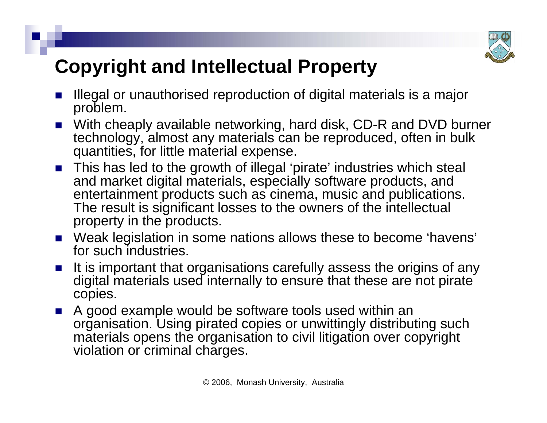

# **Copyright and Intellectual Property**

- F. Illegal or unauthorised reproduction of digital materials is a major problem.
- With cheaply available networking, hard disk, CD-R and DVD burner technology, almost any materials can be reproduced, often in bulk quantities, for little material expense.
- This has led to the growth of illegal 'pirate' industries which steal and market digital materials, especially software products, and entertainment products such as cinema, music and publications. The result is significant losses to the owners of the intellectual property in the products.
- Weak legislation in some nations allows these to become 'havens' for such industries.
- F. It is important that organisations carefully assess the origins of any digital materials used internally to ensure that these are not pirate copies.
- F. A good example would be software tools used within an organisation. Using pirated copies or unwittingly distributing such materials opens the organisation to civil litigation over copyright violation or criminal charges.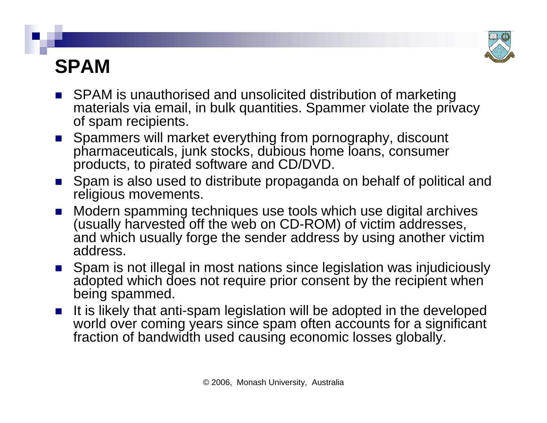

# **SPAM**

- SPAM is unauthorised and unsolicited distribution of marketing materials via email, in bulk quantities. Spammer violate the privacy of spam recipients.
- Spammers will market everything from pornography, discount pharmaceuticals, junk stocks, dubious home loans, consumer products, to pirated software and CD/DVD.
- Spam is also used to distribute propaganda on behalf of political and religious movements.
- Modern spamming techniques use tools which use digital archives (usually harvested off the web on CD-ROM) of victim addresses, and which usually forge the sender address by using another victim address.
- Spam is not illegal in most nations since legislation was injudiciously adopted which does not require prior consent by the recipient when being spammed.
- $\blacksquare$  It is likely that anti-spam legislation will be adopted in the developed world over coming years since spam often accounts for a significant fraction of bandwidth used causing economic losses globally.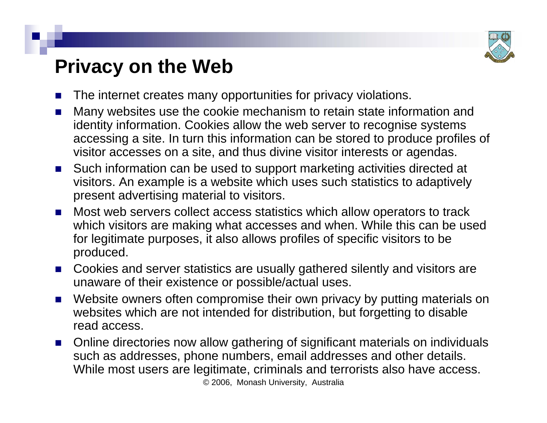

### **Privacy on the Web**

- П The internet creates many opportunities for privacy violations.
- П Many websites use the cookie mechanism to retain state information and identity information. Cookies allow the web server to recognise systems accessing a site. In turn this information can be stored to produce profiles of visitor accesses on a site, and thus divine visitor interests or agendas.
- Such information can be used to support marketing activities directed at visitors. An example is a website which uses such statistics to adaptively present advertising material to visitors.
- П Most web servers collect access statistics which allow operators to track which visitors are making what accesses and when. While this can be used for legitimate purposes, it also allows profiles of specific visitors to be produced.
- Cookies and server statistics are usually gathered silently and visitors are unaware of their existence or possible/actual uses.
- $\sim 10$  Website owners often compromise their own privacy by putting materials on websites which are not intended for distribution, but forgetting to disable read access.
- Online directories now allow gathering of significant materials on individuals such as addresses, phone numbers, email addresses and other details. While most users are legitimate, criminals and terrorists also have access.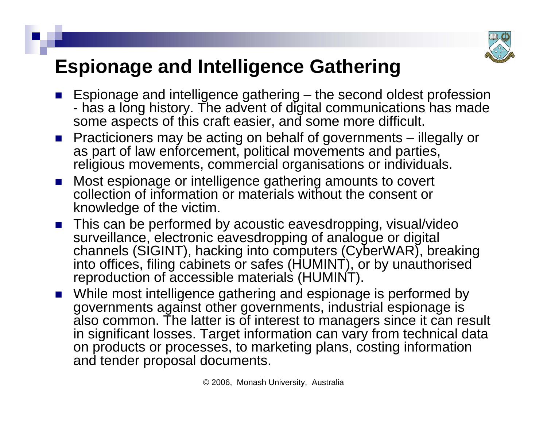

### **Espionage and Intelligence Gathering**

- Espionage and intelligence gathering the second oldest profession has a long history. The advent of digital communic ations has made some aspects of this craft easier, and some more difficult.
- Practicioners may be acting on behalf of governments illegally or as part of law enforcement, political movements and parties, religious movements, commercial organisations or individuals.
- Most espionage or intelligence gathering amounts to covert collection of information or materials without the consent or knowledge of the victim.
- **This can be performed by acoustic eavesdropping, visual/video** surveillance, electronic eavesdropping of analogue or digital channels (SIGINT), hacking into computers (CyberWAR), breaking into offices, filing cabinets or safes (HUMINT), or by unauthorised reproduction of accessible materials (HUMINT).
- While most intelligence gathering and espionage is performed by governments against other governments, industrial espionage is als o common. The latter is of interest to managers since it can result in significant losses. Target information can vary from technic al data on products or processes, to marketing plans, costing information and tender proposal documents.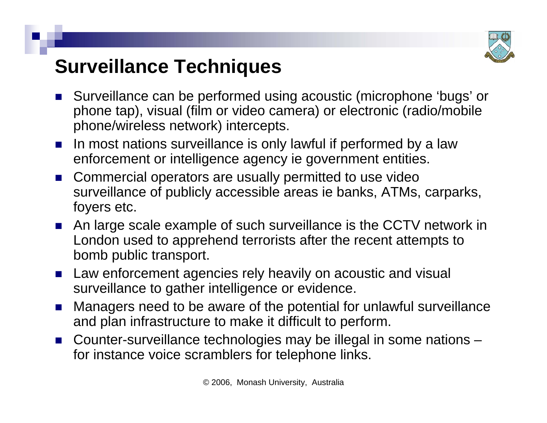

# **Surveillance Techniques**

- Surveillance can be performed using acoustic (microphone 'bugs' or phone tap), visual (film or video camera) or electronic (radio/mobile phone/wireless network) intercepts.
- $\mathcal{L}_{\rm{max}}$  In most nations surveillance is only lawful if performed by a law enforcement or intelligence agency ie government entities.
- **Commercial operators are usually permitted to use video** surveillance of publicly accessible areas ie banks, ATMs, carparks, foyers etc.
- An large scale example of such surveillance is the CCTV network in London used to apprehend terrorists after the recent attempts to bomb public transport.
- **Law enforcement agencies rely heavily on acoustic and visual** surveillance to gather intelligence or evidence.
- F. Managers need to be aware of the potential for unlawful surveillance and plan infrastructure to make it difficult to perform.
- Counter-surveillance technologies may be illegal in some nations for instance voice scramblers for telephone links.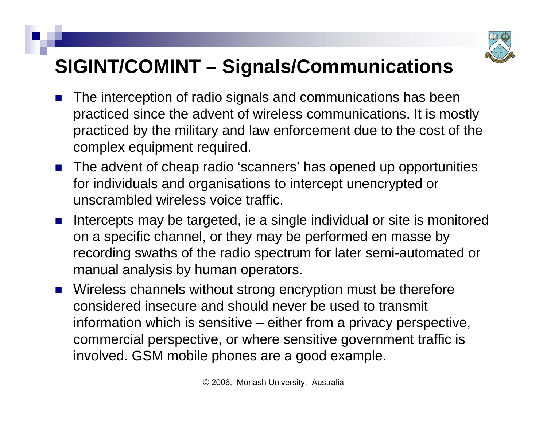

# **SIGINT/COMINT – Signals/Communications**

- ×. The interception of radio signals and communications has been practiced since the advent of wireless communications. It is mostly practiced by the military and law enforcement due to the cost of the complex equipment required.
- The advent of cheap radio 'scanners' has opened up opportunities for individuals and organisations to intercept unencrypted or unscrambled wireless voice traffic.
- Intercepts may be targeted, ie a single individual or site is monitored on a specific channel, or they may be performed en masse by recording swaths of the radio spectrum for later semi-automated or manual analysis by human operators.
- **Number 10 Number 10 Number 2015** Virthout strong encryption must be therefore considered insecure and should never be used to transmit information which is sensitive – either from a privacy perspective, commercial perspective, or where sensitive government traffic is involved. GSM mobile phones are a good example.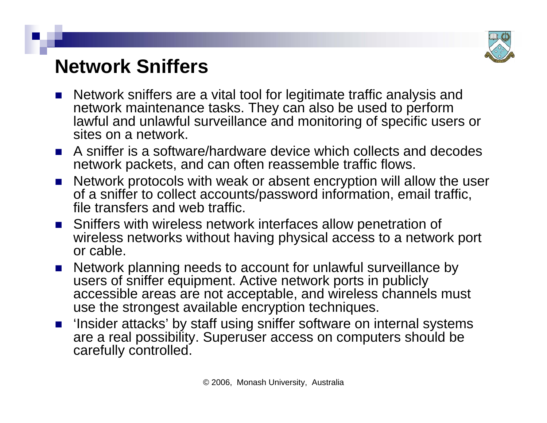

### **Network Sniffers**

- Network sniffers are a vital tool for legitimate traffic analysis and network maintenance tasks. They can also be used to perform lawful and unlawful surveillance and monitoring of specific users or sites on a network.
- A sniffer is a software/hardware device which collects and decodes network packets, and can often reassemble traffic flows.
- F. Network protocols with weak or absent encryption will allow the user of a sniffer to collect accounts/password information, email traffic, file transfers and web traffic.
- **S** Sniffers with wireless network interfaces allow penetration of wireless networks without having physical access to a network port or cable.
- F. Network planning needs to account for unlawful surveillance by users of sniffer equipment. Active network ports in publicly accessible areas are not acceptable, and wireless channels must use the strongest available encryption techniques.
- 'Insider attacks' by staff using sniffer software on internal systems are a real possibility. Superuser access on computers should be carefully controlled.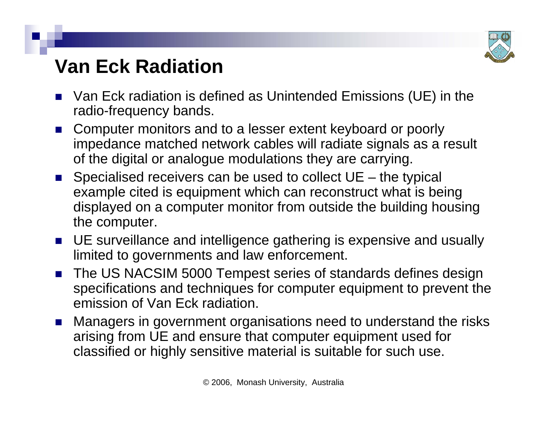

### **Van Eck Radiation**

- F. Van Eck radiation is defined as Unintended Emissions (UE) in the radio-frequency bands.
- F. Computer monitors and to a lesser extent keyboard or poorly impedance matched network cables will radiate signals as a result of the digital or analogue modulations they are carrying.
- Specialised receivers can be used to collect  $UE -$  the typical example cited is equipment which can reconstruct what is being displayed on a computer monitor from outside the building housing the computer.
- UE surveillance and intelligence gathering is expensive and usually limited to governments and law enforcement.
- F. The US NACSIM 5000 Tempest series of standards defines design specifications and techniques for computer equipment to prevent the emission of Van Eck radiation.
- $\mathcal{L}^{\text{max}}_{\text{max}}$  Managers in government organisations need to understand the risks arising from UE and ensure that computer equipment used for classified or highly sensitive material is suitable for such use.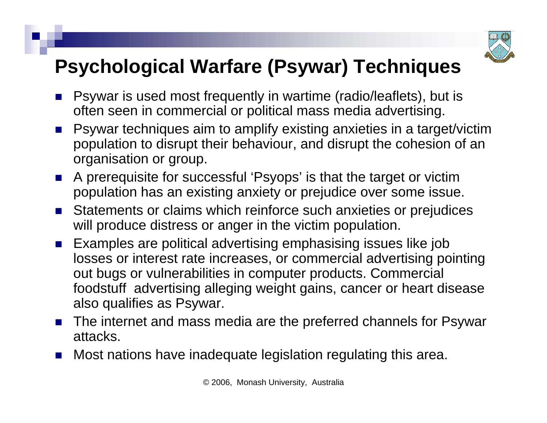

# **Psychological Warfare (Psywar) Techniques**

- F. Psywar is used most frequently in wartime (radio/leaflets), but is often seen in commercial or political mass media advertising.
- $\mathcal{L}^{\text{max}}$  Psywar techniques aim to amplify existing anxieties in a target/victim population to disrupt their behaviour, and disrupt the cohesion of an organisation or group.
- F. A prerequisite for successful 'Psyops' is that the target or victim population has an existing anxiety or prejudice over some issue.
- Statements or claims which reinforce such anxieties or prejudices will produce distress or anger in the victim population.
- $\blacksquare$  Examples are political advertising emphasising issues like job losses or interest rate increases, or commercial advertising pointing out bugs or vulnerabilities in computer products. Commercial foodstuff advertising alleging weight gains, cancer or heart disease also qualifies as Psywar.
- The internet and mass media are the preferred channels for Psywar attacks.
- F. Most nations have inadequate legislation regulating this area.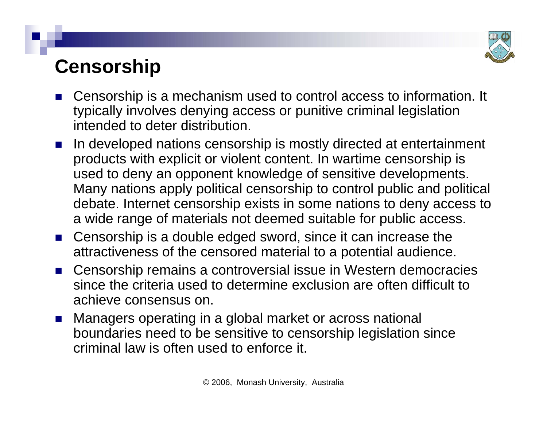

### **Censorship**

- F. Censorship is a mechanism used to control access to information. It typically involves denying access or punitive criminal legislation intended to deter distribution.
- F. In developed nations censorship is mostly directed at entertainment products with explicit or violent content. In wartime censorship is used to deny an opponent knowledge of sensitive developments. Many nations apply political censorship to control public and political debate. Internet censorship exists in some nations to deny access to a wide range of materials not deemed suitable for public access.
- ×. Censorship is a double edged sword, since it can increase the attractiveness of the censored material to a potential audience.
- Censorship remains a controversial issue in Western democracies since the criteria used to determine exclusion are often difficult to achieve consensus on.
- $\mathcal{L}_{\text{max}}$  Managers operating in a global market or across national boundaries need to be sensitive to censorship legislation since criminal law is often used to enforce it.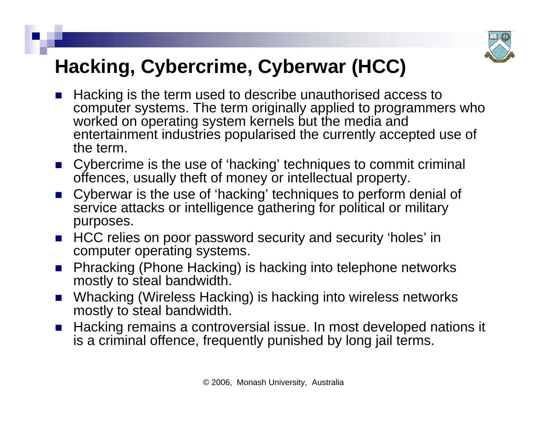

# **Hacking, Cybercrime, Cyberwar (HCC)**

- F. Hacking is the term used to describe unauthorised access to computer systems. The term originally applied to programmers who worked on operating system kernels but the media and entertainment industries popularised the currently accepted use of the term.
- Cybercrime is the use of 'hacking' techniques to commit criminal offences, usually theft of money or intellectual property.
- F. Cyberwar is the use of 'hacking' techniques to perform denial of service attacks or intelligence gathering for political or military purposes.
- HCC relies on poor password security and security 'holes' in computer operating systems.
- $\mathcal{L}_{\mathcal{A}}$  Phracking (Phone Hacking) is hacking into telephone networks mostly to steal bandwidth.
- $\mathcal{L}^{\text{max}}_{\text{max}}$  Whacking (Wireless Hacking) is hacking into wireless networks mostly to steal bandwidth.
- $\mathcal{L}^{\text{max}}_{\text{max}}$  Hacking remains a controversial issue. In most developed nations it is a criminal offence, frequently punished by long jail terms.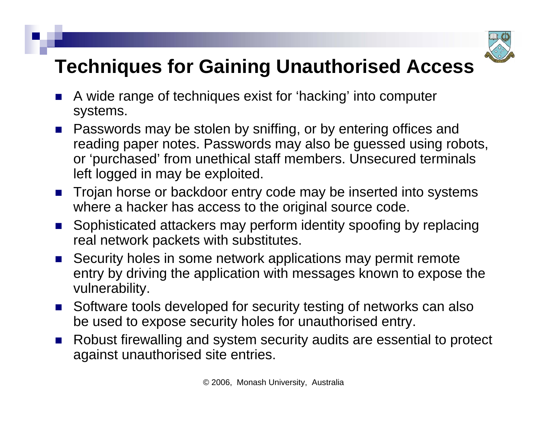

# **Techniques for Gaining Unauthorised Access**

- F. A wide range of techniques exist for 'hacking' into computer systems.
- Passwords may be stolen by sniffing, or by entering offices and reading paper notes. Passwords may also be guessed using robots, or 'purchased' from unethical staff members. Unsecured terminals left logged in may be exploited.
- Trojan horse or backdoor entry code may be inserted into systems where a hacker has access to the original source code.
- Sophisticated attackers may perform identity spoofing by replacing real network packets with substitutes.
- Security holes in some network applications may permit remote entry by driving the application with messages known to expose the vulnerability.
- Software tools developed for security testing of networks can also be used to expose security holes for unauthorised entry.
- Robust firewalling and system security audits are essential to protect against unauthorised site entries.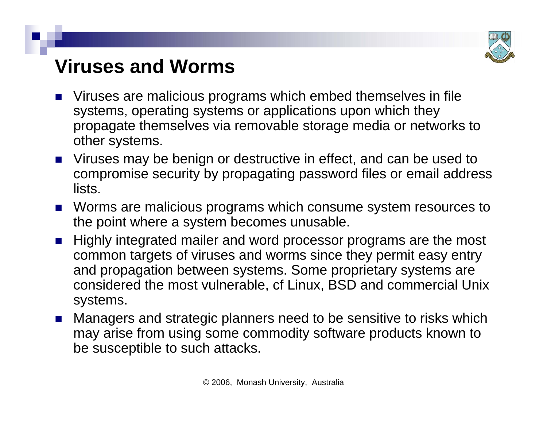

### **Viruses and Worms**

- **Number 19 and Theory in Analicious programs which embed themselves in file** systems, operating systems or applications upon which they propagate themselves via removable storage media or networks to other systems.
- **Number 10 Fellon III is also Theory Conson III is also Theory Consom III is verify the USE** of to **III** Viruses may be benign or destruction **III** Viruses may be benign or destruction **III** Viruses may be used to compromise security by propagating password files or email address lists.
- Worms are malicious programs which consume system resources to the point where a system becomes unusable.
- Highly integrated mailer and word processor programs are the most common targets of viruses and worms since they permit easy entry and propagation between systems. Some proprietary systems are considered the most vulnerable, cf Linux, BSD and commercial Unix systems.
- F. Managers and strategic planners need to be sensitive to risks which may arise from using some commodity software products known to be susceptible to such attacks.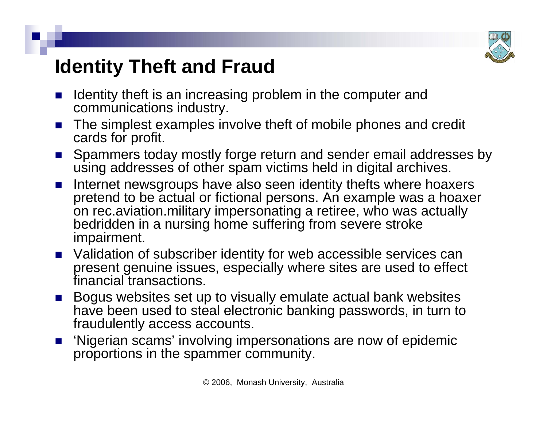

# **Identity Theft and Fraud**

- F. Identity theft is an increasing problem in the computer and communications industry.
- ×. The simplest examples involve theft of mobile phones and credit cards for profit.
- Spammers today mostly forge return and sender email addresses by using addresses of other spam victims held in digital archives.
- F. Internet newsgroups have also seen identity thefts where hoaxers pretend to be actual or fictional persons. An example was a hoaxer on rec.aviation.military impersonating a retiree, who was actually bedridden in a nursing home suffering from severe stroke impairment.
- Validation of subscriber identity for web accessible services can present genuine issues, especially where sites are used to effect financial transactions.
- Bogus websites set up to visually emulate actual bank websites have been used to steal electronic banking passwords, in turn to fraudulently access accounts.
- F. 'Nigerian scams' involving impersonations are now of epidemic proportions in the spammer community.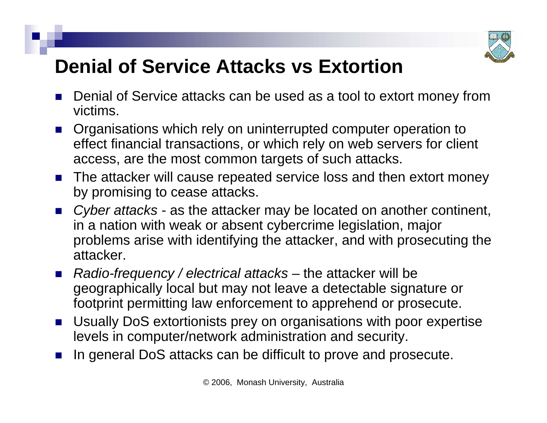

### **Denial of Service Attacks vs Extortion**

- F. Denial of Service attacks can be used as a tool to extort money from victims.
- F. Organisations which rely on uninterrupted computer operation to effect financial transactions, or which rely on web servers for client access, are the most common targets of such attacks.
- The attacker will cause repeated service loss and then extort money by promising to cease attacks.
- Cyber attacks as the attacker may be located on another continent, in a nation with weak or absent cybercrime legislation, major problems arise with identifying the attacker, and with prosecuting the attacker.
- $\mathcal{L}^{\text{max}}$  *Radio-frequency / electrical attacks* – the attacker will be geographically local but may not leave a detectable signature or footprint permitting law enforcement to apprehend or prosecute.
- Usually DoS extortionists prey on organisations with poor expertise levels in computer/network administration and security.
- F. In general DoS attacks can be difficult to prove and prosecute.